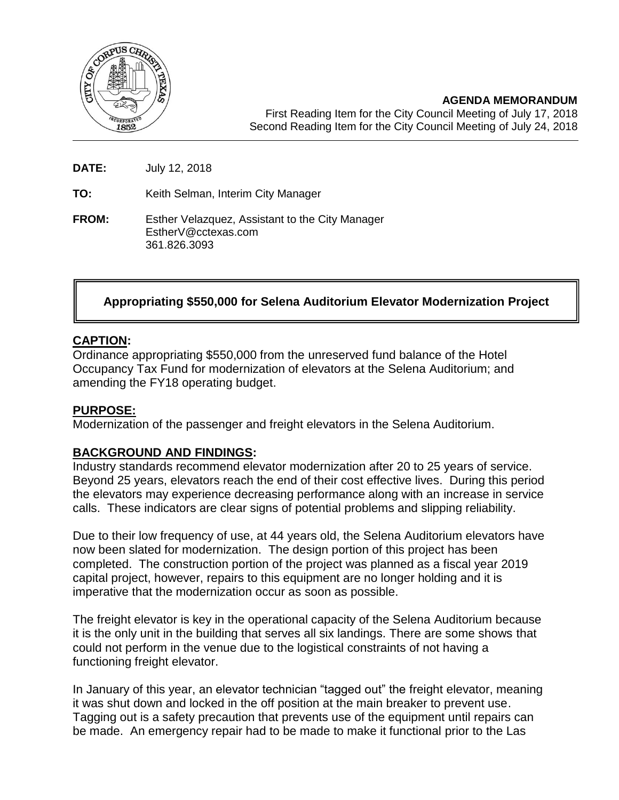

**DATE:** July 12, 2018

**TO:** Keith Selman, Interim City Manager

**FROM:** Esther Velazquez, Assistant to the City Manager EstherV@cctexas.com 361.826.3093

# **Appropriating \$550,000 for Selena Auditorium Elevator Modernization Project**

#### **CAPTION:**

Ordinance appropriating \$550,000 from the unreserved fund balance of the Hotel Occupancy Tax Fund for modernization of elevators at the Selena Auditorium; and amending the FY18 operating budget.

#### **PURPOSE:**

Modernization of the passenger and freight elevators in the Selena Auditorium.

### **BACKGROUND AND FINDINGS:**

Industry standards recommend elevator modernization after 20 to 25 years of service. Beyond 25 years, elevators reach the end of their cost effective lives. During this period the elevators may experience decreasing performance along with an increase in service calls. These indicators are clear signs of potential problems and slipping reliability.

Due to their low frequency of use, at 44 years old, the Selena Auditorium elevators have now been slated for modernization. The design portion of this project has been completed. The construction portion of the project was planned as a fiscal year 2019 capital project, however, repairs to this equipment are no longer holding and it is imperative that the modernization occur as soon as possible.

The freight elevator is key in the operational capacity of the Selena Auditorium because it is the only unit in the building that serves all six landings. There are some shows that could not perform in the venue due to the logistical constraints of not having a functioning freight elevator.

In January of this year, an elevator technician "tagged out" the freight elevator, meaning it was shut down and locked in the off position at the main breaker to prevent use. Tagging out is a safety precaution that prevents use of the equipment until repairs can be made. An emergency repair had to be made to make it functional prior to the Las